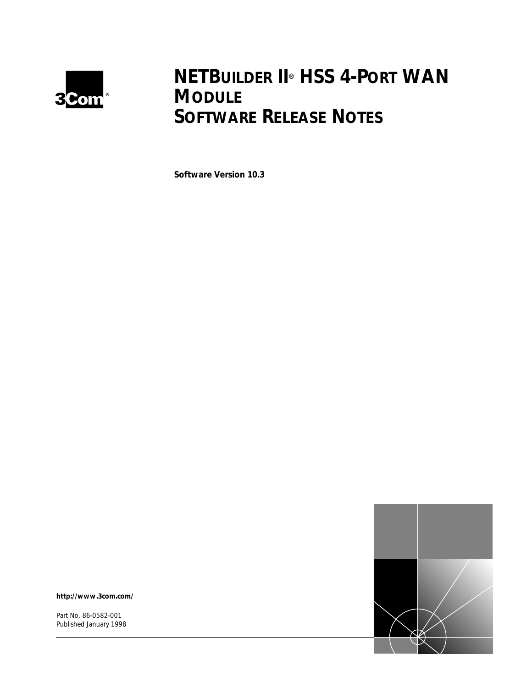

# **NETBUILDER II® HSS 4-PORT WAN MODULE SOFTWARE RELEASE NOTES**

**Software Version 10.3**



**http://www.3com.com/**

Part No. 86-0582-001 Published January 1998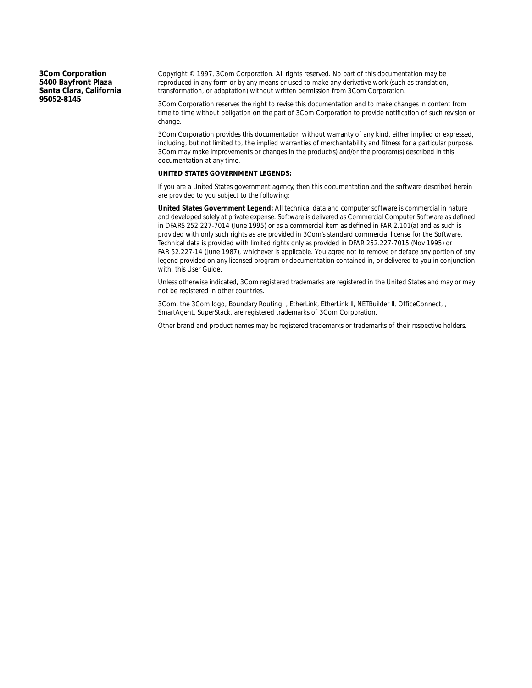**3Com Corporation 5400 Bayfront Plaza Santa Clara, California 95052-8145**

Copyright © 1997, 3Com Corporation. All rights reserved. No part of this documentation may be reproduced in any form or by any means or used to make any derivative work (such as translation, transformation, or adaptation) without written permission from 3Com Corporation.

3Com Corporation reserves the right to revise this documentation and to make changes in content from time to time without obligation on the part of 3Com Corporation to provide notification of such revision or change.

3Com Corporation provides this documentation without warranty of any kind, either implied or expressed, including, but not limited to, the implied warranties of merchantability and fitness for a particular purpose. 3Com may make improvements or changes in the product(s) and/or the program(s) described in this documentation at any time.

#### **UNITED STATES GOVERNMENT LEGENDS:**

If you are a United States government agency, then this documentation and the software described herein are provided to you subject to the following:

**United States Government Legend:** All technical data and computer software is commercial in nature and developed solely at private expense. Software is delivered as Commercial Computer Software as defined in DFARS 252.227-7014 (June 1995) or as a commercial item as defined in FAR 2.101(a) and as such is provided with only such rights as are provided in 3Com's standard commercial license for the Software. Technical data is provided with limited rights only as provided in DFAR 252.227-7015 (Nov 1995) or FAR 52.227-14 (June 1987), whichever is applicable. You agree not to remove or deface any portion of any legend provided on any licensed program or documentation contained in, or delivered to you in conjunction with, this User Guide.

Unless otherwise indicated, 3Com registered trademarks are registered in the United States and may or may not be registered in other countries.

3Com, the 3Com logo, Boundary Routing, , EtherLink, EtherLink II, NETBuilder II, OfficeConnect, , SmartAgent, SuperStack, are registered trademarks of 3Com Corporation.

Other brand and product names may be registered trademarks or trademarks of their respective holders.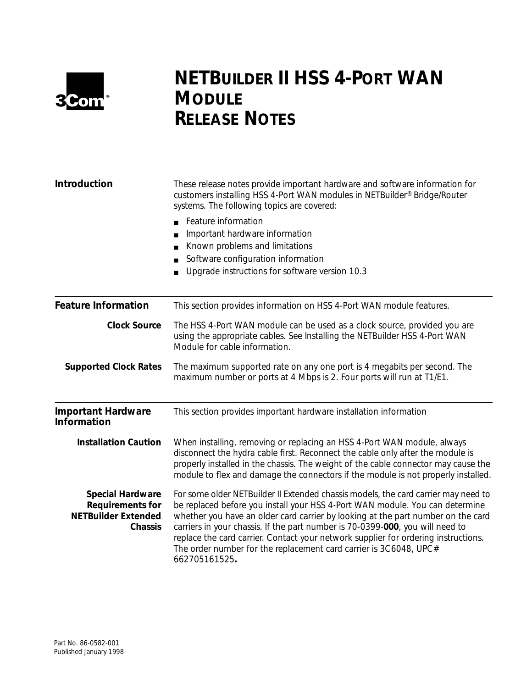

# **NETBUILDER II HSS 4-PORT WAN MODULE RELEASE NOTES**

| Introduction                                                                                       | These release notes provide important hardware and software information for<br>customers installing HSS 4-Port WAN modules in NETBuilder <sup>®</sup> Bridge/Router<br>systems. The following topics are covered:                                                                                                                                                                                                                                                                                                   |  |
|----------------------------------------------------------------------------------------------------|---------------------------------------------------------------------------------------------------------------------------------------------------------------------------------------------------------------------------------------------------------------------------------------------------------------------------------------------------------------------------------------------------------------------------------------------------------------------------------------------------------------------|--|
|                                                                                                    | Feature information<br>$\blacksquare$<br>Important hardware information<br>Known problems and limitations<br>Software configuration information<br>Upgrade instructions for software version 10.3                                                                                                                                                                                                                                                                                                                   |  |
| <b>Feature Information</b>                                                                         | This section provides information on HSS 4-Port WAN module features.                                                                                                                                                                                                                                                                                                                                                                                                                                                |  |
| <b>Clock Source</b>                                                                                | The HSS 4-Port WAN module can be used as a clock source, provided you are<br>using the appropriate cables. See Installing the NETBuilder HSS 4-Port WAN<br>Module for cable information.                                                                                                                                                                                                                                                                                                                            |  |
| <b>Supported Clock Rates</b>                                                                       | The maximum supported rate on any one port is 4 megabits per second. The<br>maximum number or ports at 4 Mbps is 2. Four ports will run at T1/E1.                                                                                                                                                                                                                                                                                                                                                                   |  |
| <b>Important Hardware</b><br><b>Information</b>                                                    | This section provides important hardware installation information                                                                                                                                                                                                                                                                                                                                                                                                                                                   |  |
| <b>Installation Caution</b>                                                                        | When installing, removing or replacing an HSS 4-Port WAN module, always<br>disconnect the hydra cable first. Reconnect the cable only after the module is<br>properly installed in the chassis. The weight of the cable connector may cause the<br>module to flex and damage the connectors if the module is not properly installed.                                                                                                                                                                                |  |
| <b>Special Hardware</b><br><b>Requirements for</b><br><b>NETBuilder Extended</b><br><b>Chassis</b> | For some older NETBuilder II Extended chassis models, the card carrier may need to<br>be replaced before you install your HSS 4-Port WAN module. You can determine<br>whether you have an older card carrier by looking at the part number on the card<br>carriers in your chassis. If the part number is 70-0399-000, you will need to<br>replace the card carrier. Contact your network supplier for ordering instructions.<br>The order number for the replacement card carrier is 3C6048, UPC#<br>662705161525. |  |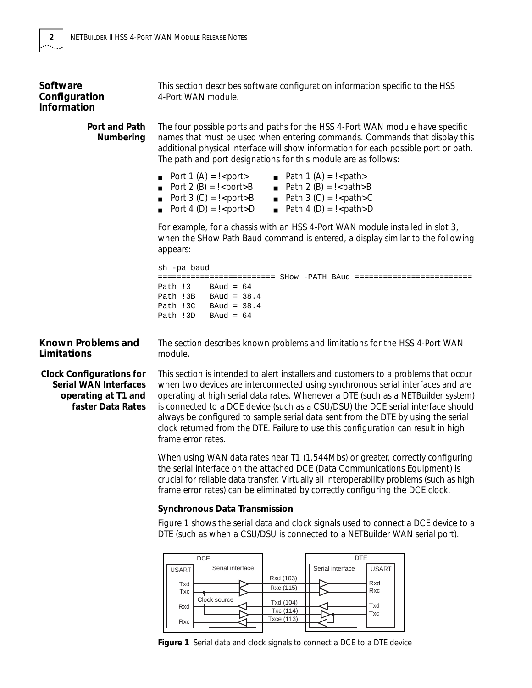<span id="page-3-0"></span>

| Software<br>Configuration<br><b>Information</b>                                                             | This section describes software configuration information specific to the HSS<br>4-Port WAN module.                                                                                                                                                                                                                                                                                                                                                                                                                                            |
|-------------------------------------------------------------------------------------------------------------|------------------------------------------------------------------------------------------------------------------------------------------------------------------------------------------------------------------------------------------------------------------------------------------------------------------------------------------------------------------------------------------------------------------------------------------------------------------------------------------------------------------------------------------------|
| Port and Path<br>Numbering                                                                                  | The four possible ports and paths for the HSS 4-Port WAN module have specific<br>names that must be used when entering commands. Commands that display this<br>additional physical interface will show information for each possible port or path.<br>The path and port designations for this module are as follows:                                                                                                                                                                                                                           |
|                                                                                                             | Port 1 $(A) = \frac{1}{2}$ sports<br><b>Path 1 (A) = !</b> <path><br/>Port 2 (B) = <math>!</math> &lt; port &gt; B<br/>■ Path <math>2(B) = 1</math> &lt; path &gt; B<br/>■ Path 3 (C) = <math>\frac{1}{2}</math> &lt; path &gt; C<br/>Port <math>3(C) = 1</math> &lt; port &gt; B<br/>■ Path 4 (D) = <math>\frac{1}{2}</math> &lt; path &gt; D<br/>Port 4 (D) = <math>!</math> &lt; port &gt; D</path>                                                                                                                                         |
|                                                                                                             | For example, for a chassis with an HSS 4-Port WAN module installed in slot 3,<br>when the SHow Path Baud command is entered, a display similar to the following<br>appears:                                                                                                                                                                                                                                                                                                                                                                    |
|                                                                                                             | sh -pa baud                                                                                                                                                                                                                                                                                                                                                                                                                                                                                                                                    |
|                                                                                                             | ========================= SHow -PATH        BAud        ========================<br>$BAud = 64$<br>Path !3<br>Path $13B$ BAud = $38.4$<br>Path !3C<br>$BAud = 38.4$<br>$BAud = 64$<br>Path !3D                                                                                                                                                                                                                                                                                                                                                 |
| Known Problems and                                                                                          | The section describes known problems and limitations for the HSS 4-Port WAN                                                                                                                                                                                                                                                                                                                                                                                                                                                                    |
| Limitations                                                                                                 | module.                                                                                                                                                                                                                                                                                                                                                                                                                                                                                                                                        |
| <b>Clock Configurations for</b><br><b>Serial WAN Interfaces</b><br>operating at T1 and<br>faster Data Rates | This section is intended to alert installers and customers to a problems that occur<br>when two devices are interconnected using synchronous serial interfaces and are<br>operating at high serial data rates. Whenever a DTE (such as a NETBuilder system)<br>is connected to a DCE device (such as a CSU/DSU) the DCE serial interface should<br>always be configured to sample serial data sent from the DTE by using the serial<br>clock returned from the DTE. Failure to use this configuration can result in high<br>frame error rates. |
|                                                                                                             | When using WAN data rates near T1 (1.544Mbs) or greater, correctly configuring<br>the serial interface on the attached DCE (Data Communications Equipment) is<br>crucial for reliable data transfer. Virtually all interoperability problems (such as high<br>frame error rates) can be eliminated by correctly configuring the DCE clock.                                                                                                                                                                                                     |
|                                                                                                             | <b>Synchronous Data Transmission</b>                                                                                                                                                                                                                                                                                                                                                                                                                                                                                                           |
|                                                                                                             | Figure 1 shows the serial data and clock signals used to connect a DCE device to a<br>DTE (such as when a CSU/DSU is connected to a NETBuilder WAN serial port).                                                                                                                                                                                                                                                                                                                                                                               |



Txd (104) Txc (114)

Ð ₹

Rxc Txd Txc

Txc Rxd Rxc

Clock source

Γ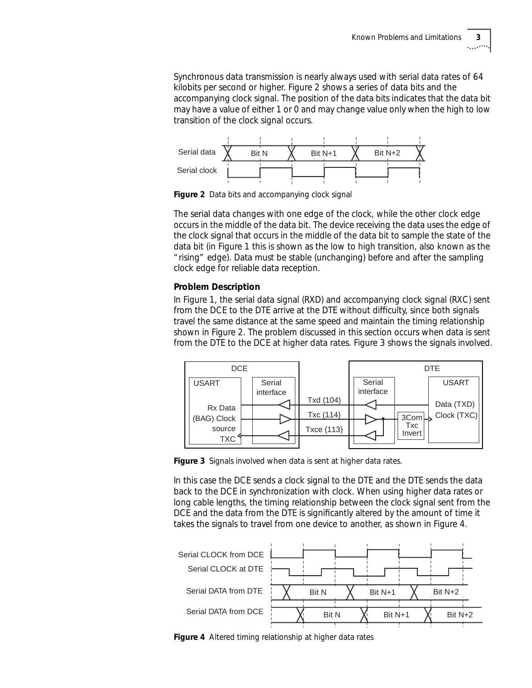<span id="page-4-0"></span>Synchronous data transmission is nearly always used with serial data rates of 64 kilobits per second or higher. Figure 2 shows a series of data bits and the accompanying clock signal. The position of the data bits indicates that the data bit may have a value of either 1 or 0 and may change value only when the high to low transition of the clock signal occurs.



**Figure 2** Data bits and accompanying clock signal

The serial data changes with one edge of the clock, while the other clock edge occurs in the middle of the data bit. The device receiving the data uses the edge of the clock signal that occurs in the middle of the data bit to sample the state of the data bit (in [Figure 1](#page-3-0) this is shown as the low to high transition, also known as the "rising" edge). Data must be stable (unchanging) before and after the sampling clock edge for reliable data reception.

## **Problem Description**

In [Figure 1](#page-3-0), the serial data signal (RXD) and accompanying clock signal (RXC) sent from the DCE to the DTE arrive at the DTE without difficulty, since both signals travel the same distance at the same speed and maintain the timing relationship shown in Figure 2. The problem discussed in this section occurs when data is sent from the DTE to the DCE at higher data rates. Figure 3 shows the signals involved.



**Figure 3** Signals involved when data is sent at higher data rates.

In this case the DCE sends a clock signal to the DTE and the DTE sends the data back to the DCE in synchronization with clock. When using higher data rates or long cable lengths, the timing relationship between the clock signal sent from the DCE and the data from the DTE is significantly altered by the amount of time it takes the signals to travel from one device to another, as shown in Figure 4.



**Figure 4** Altered timing relationship at higher data rates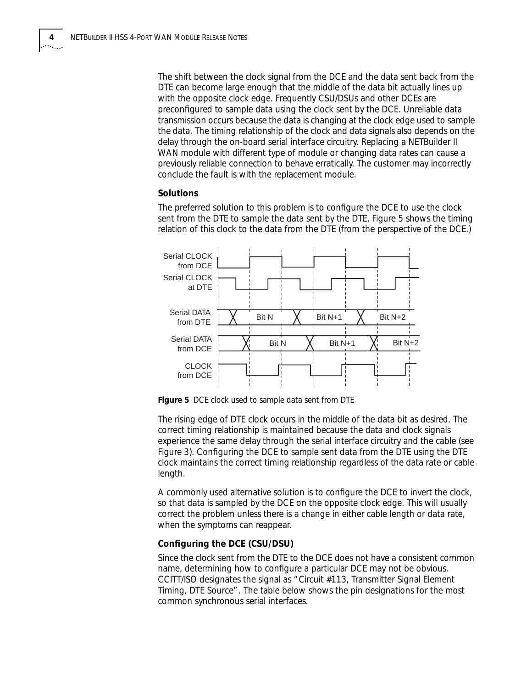The shift between the clock signal from the DCE and the data sent back from the DTE can become large enough that the middle of the data bit actually lines up with the opposite clock edge. Frequently CSU/DSUs and other DCEs are preconfigured to sample data using the clock sent by the DCE. Unreliable data transmission occurs because the data is changing at the clock edge used to sample the data. The timing relationship of the clock and data signals also depends on the delay through the on-board serial interface circuitry. Replacing a NETBuilder II WAN module with different type of module or changing data rates can cause a previously reliable connection to behave erratically. The customer may incorrectly conclude the fault is with the replacement module.

#### **Solutions**

The preferred solution to this problem is to configure the DCE to use the clock sent from the DTE to sample the data sent by the DTE. Figure 5 shows the timing relation of this clock to the data from the DTE (from the perspective of the DCE.)



**Figure 5** DCE clock used to sample data sent from DTE

The rising edge of DTE clock occurs in the middle of the data bit as desired. The correct timing relationship is maintained because the data and clock signals experience the same delay through the serial interface circuitry and the cable (see [Figure 3\)](#page-4-0). Configuring the DCE to sample sent data from the DTE using the DTE clock maintains the correct timing relationship regardless of the data rate or cable length.

A commonly used alternative solution is to configure the DCE to invert the clock, so that data is sampled by the DCE on the opposite clock edge. This will usually correct the problem unless there is a change in either cable length or data rate, when the symptoms can reappear.

### **Configuring the DCE (CSU/DSU)**

Since the clock sent from the DTE to the DCE does not have a consistent common name, determining how to configure a particular DCE may not be obvious. CCITT/ISO designates the signal as "*Circuit #113, Transmitter Signal Element Timing, DTE Source*". The table below shows the pin designations for the most common synchronous serial interfaces.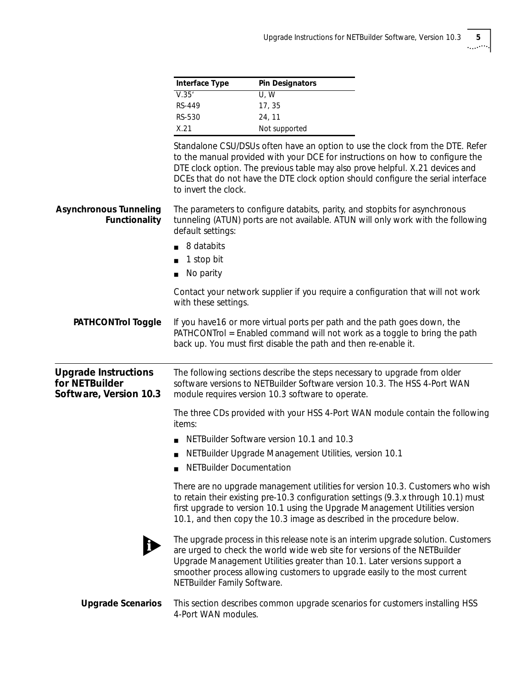| Interface Type | <b>Pin Designators</b> |
|----------------|------------------------|
| V.35'          | U.W                    |
| RS-449         | 17, 35                 |
| RS-530         | 24.11                  |
| X.21           | Not supported          |

Standalone CSU/DSUs often have an option to use the clock from the DTE. Refer to the manual provided with your DCE for instructions on how to configure the DTE clock option. The previous table may also prove helpful. X.21 devices and DCEs that do not have the DTE clock option should configure the serial interface to invert the clock.

| <b>Asynchronous Tunneling</b><br>Functionality                          | The parameters to configure databits, parity, and stopbits for asynchronous<br>tunneling (ATUN) ports are not available. ATUN will only work with the following<br>default settings:<br>8 databits<br>1 stop bit<br>No parity                                                                                                                           |
|-------------------------------------------------------------------------|---------------------------------------------------------------------------------------------------------------------------------------------------------------------------------------------------------------------------------------------------------------------------------------------------------------------------------------------------------|
|                                                                         | Contact your network supplier if you require a configuration that will not work<br>with these settings.                                                                                                                                                                                                                                                 |
| <b>PATHCONTrol Toggle</b>                                               | If you have 16 or more virtual ports per path and the path goes down, the<br>PATHCONTrol = Enabled command will not work as a toggle to bring the path<br>back up. You must first disable the path and then re-enable it.                                                                                                                               |
| <b>Upgrade Instructions</b><br>for NETBuilder<br>Software, Version 10.3 | The following sections describe the steps necessary to upgrade from older<br>software versions to NETBuilder Software version 10.3. The HSS 4-Port WAN<br>module requires version 10.3 software to operate.                                                                                                                                             |
|                                                                         | The three CDs provided with your HSS 4-Port WAN module contain the following<br>items:                                                                                                                                                                                                                                                                  |
|                                                                         | NETBuilder Software version 10.1 and 10.3                                                                                                                                                                                                                                                                                                               |
|                                                                         | NETBuilder Upgrade Management Utilities, version 10.1                                                                                                                                                                                                                                                                                                   |
|                                                                         | NETBuilder Documentation                                                                                                                                                                                                                                                                                                                                |
|                                                                         | There are no upgrade management utilities for version 10.3. Customers who wish<br>to retain their existing pre-10.3 configuration settings (9.3.x through 10.1) must<br>first upgrade to version 10.1 using the Upgrade Management Utilities version<br>10.1, and then copy the 10.3 image as described in the procedure below.                         |
|                                                                         | The upgrade process in this release note is an interim upgrade solution. Customers<br>are urged to check the world wide web site for versions of the NETBuilder<br>Upgrade Management Utilities greater than 10.1. Later versions support a<br>smoother process allowing customers to upgrade easily to the most current<br>NETBuilder Family Software. |

**Upgrade Scenarios** This section describes common upgrade scenarios for customers installing HSS 4-Port WAN modules.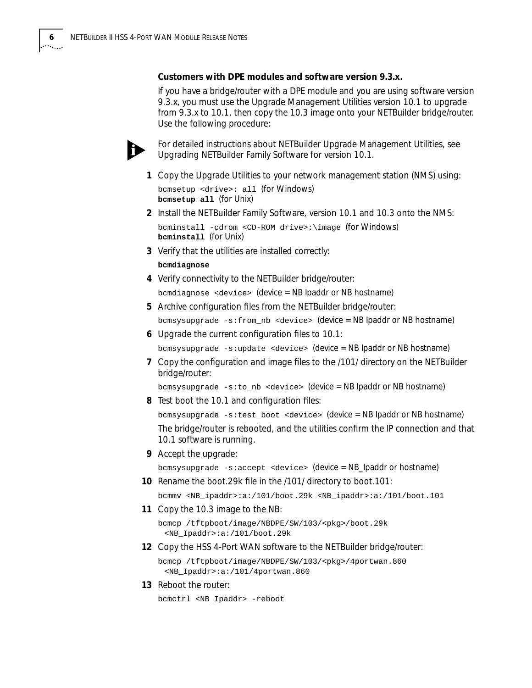#### **Customers with DPE modules and software version 9.3.x.**

If you have a bridge/router with a DPE module and you are using software version 9.3.x, you must use the Upgrade Management Utilities version 10.1 to upgrade from 9.3.x to 10.1, then copy the 10.3 image onto your NETBuilder bridge/router. Use the following procedure:



*For detailed instructions about NETBuilder Upgrade Management Utilities, see Upgrading NETBuilder Family Software for version 10.1.*

- **1** Copy the Upgrade Utilities to your network management station (NMS) using: bcmsetup <drive>: all (for Windows) **bcmsetup all** (for Unix)
- **2** Install the NETBuilder Family Software, version 10.1 and 10.3 onto the NMS: bcminstall -cdrom <CD-ROM drive>:\image (for Windows)
- **bcminstall** (for Unix) **3** Verify that the utilities are installed correctly:
	-
	- **bcmdiagnose**
- **4** Verify connectivity to the NETBuilder bridge/router: bcmdiagnose <device> (device = NB Ipaddr or NB hostname)
- **5** Archive configuration files from the NETBuilder bridge/router:

bcmsysupgrade -s:from\_nb <device> (device = NB Ipaddr or NB hostname)

**6** Upgrade the current configuration files to 10.1:

bcmsysupgrade -s:update <device> (device = NB Ipaddr or NB hostname)

**7** Copy the configuration and image files to the /101/ directory on the NETBuilder bridge/router:

bcmsysupgrade -s:to\_nb <device> (device = NB Ipaddr or NB hostname)

**8** Test boot the 10.1 and configuration files:

bcmsysupgrade -s:test\_boot <device> (device = NB Ipaddr or NB hostname) The bridge/router is rebooted, and the utilities confirm the IP connection and that 10.1 software is running.

**9** Accept the upgrade:

bcmsysupgrade -s:accept <device> (device = NB\_Ipaddr or hostname)

**10** Rename the boot.29k file in the /101/ directory to boot.101:

bcmmv <NB\_ipaddr>:a:/101/boot.29k <NB\_ipaddr>:a:/101/boot.101

**11** Copy the 10.3 image to the NB:

bcmcp /tftpboot/image/NBDPE/SW/103/<pkg>/boot.29k <NB\_Ipaddr>:a:/101/boot.29k

**12** Copy the HSS 4-Port WAN software to the NETBuilder bridge/router: bcmcp /tftpboot/image/NBDPE/SW/103/<pkg>/4portwan.860

<NB\_Ipaddr>:a:/101/4portwan.860

**13** Reboot the router:

bcmctrl <NB\_Ipaddr> -reboot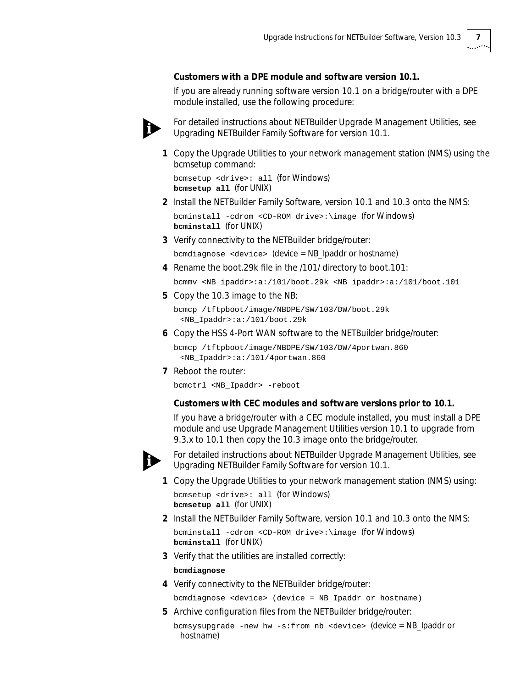### **Customers with a DPE module and software version 10.1.**

If you are already running software version 10.1 on a bridge/router with a DPE module installed, use the following procedure:



*For detailed instructions about NETBuilder Upgrade Management Utilities, see Upgrading NETBuilder Family Software for version 10.1.*

**1** Copy the Upgrade Utilities to your network management station (NMS) using the bcmsetup command:

bcmsetup <drive>: all (for Windows) **bcmsetup all** (for UNIX)

**2** Install the NETBuilder Family Software, version 10.1 and 10.3 onto the NMS:

bcminstall -cdrom <CD-ROM drive>:\image (for Windows) **bcminstall** (for UNIX)

**3** Verify connectivity to the NETBuilder bridge/router:

bcmdiagnose <device> (device = NB\_Ipaddr or hostname)

**4** Rename the boot.29k file in the /101/ directory to boot.101:

bcmmv <NB\_ipaddr>:a:/101/boot.29k <NB\_ipaddr>:a:/101/boot.101

**5** Copy the 10.3 image to the NB:

bcmcp /tftpboot/image/NBDPE/SW/103/DW/boot.29k <NB\_Ipaddr>:a:/101/boot.29k

**6** Copy the HSS 4-Port WAN software to the NETBuilder bridge/router:

bcmcp /tftpboot/image/NBDPE/SW/103/DW/4portwan.860 <NB\_Ipaddr>:a:/101/4portwan.860

**7** Reboot the router:

bcmctrl <NB\_Ipaddr> -reboot

#### **Customers with CEC modules and software versions prior to 10.1.**

If you have a bridge/router with a CEC module installed, you must install a DPE module and use Upgrade Management Utilities version 10.1 to upgrade from 9.3.x to 10.1 then copy the 10.3 image onto the bridge/router.



*For detailed instructions about NETBuilder Upgrade Management Utilities, see Upgrading NETBuilder Family Software for version 10.1.*

- **1** Copy the Upgrade Utilities to your network management station (NMS) using: bcmsetup <drive>: all (for Windows) **bcmsetup all** (for UNIX)
- **2** Install the NETBuilder Family Software, version 10.1 and 10.3 onto the NMS: bcminstall -cdrom <CD-ROM drive>:\image (for Windows) **bcminstall** (for UNIX)
- **3** Verify that the utilities are installed correctly:

#### **bcmdiagnose**

**4** Verify connectivity to the NETBuilder bridge/router:

bcmdiagnose <device> (device = NB\_Ipaddr or hostname)

**5** Archive configuration files from the NETBuilder bridge/router:

```
bcmsysupgrade -new_hw -s:from_nb <device> (device = NB_Ipaddr or 
 hostname)
```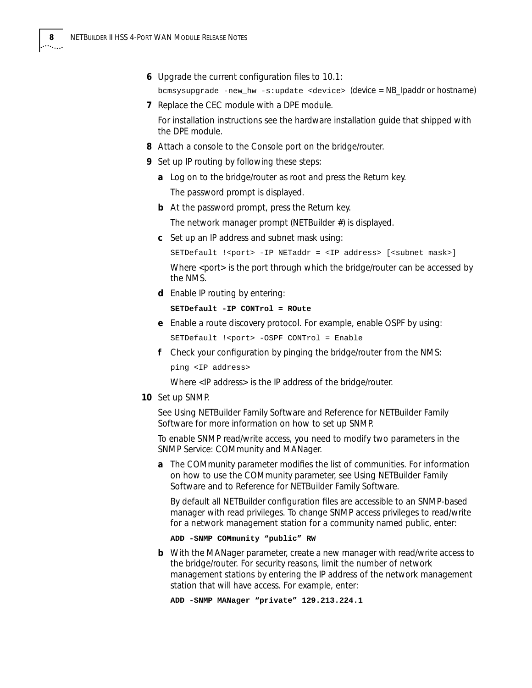- **6** Upgrade the current configuration files to 10.1: bcmsysupgrade -new\_hw -s:update <device> (device = NB\_Ipaddr or hostname)
- **7** Replace the CEC module with a DPE module. For installation instructions see the hardware installation guide that shipped with the DPE module.
- **8** Attach a console to the Console port on the bridge/router.
- **9** Set up IP routing by following these steps:
	- **a** Log on to the bridge/router as root and press the Return key. The password prompt is displayed.
	- **b** At the password prompt, press the Return key.

The network manager prompt (NETBuilder #) is displayed.

**c** Set up an IP address and subnet mask using:

```
SETDefault !< port> -IP NETaddr = <IP address> [<subnet mask>]
Where <port> is the port through which the bridge/router can be accessed by
the NMS.
```
**d** Enable IP routing by entering:

#### **SETDefault -IP CONTrol = ROute**

**e** Enable a route discovery protocol. For example, enable OSPF by using:

SETDefault !<port> -OSPF CONTrol = Enable

**f** Check your configuration by pinging the bridge/router from the NMS:

ping <IP address>

Where <IP address> is the IP address of the bridge/router.

**10** Set up SNMP.

See *Using NETBuilder Family Software* and *Reference for NETBuilder Family Software* for more information on how to set up SNMP.

To enable SNMP read/write access, you need to modify two parameters in the SNMP Service: COMmunity and MANager.

**a** The COMmunity parameter modifies the list of communities. For information on how to use the COMmunity parameter, see *Using NETBuilder Family Software* and to *Reference for NETBuilder Family Software.*

By default all NETBuilder configuration files are accessible to an SNMP-based manager with read privileges. To change SNMP access privileges to read/write for a network management station for a community named public, enter:

#### **ADD -SNMP COMmunity "public" RW**

**b** With the MANager parameter, create a new manager with read/write access to the bridge/router. For security reasons, limit the number of network management stations by entering the IP address of the network management station that will have access. For example, enter:

**ADD -SNMP MANager "private" 129.213.224.1**